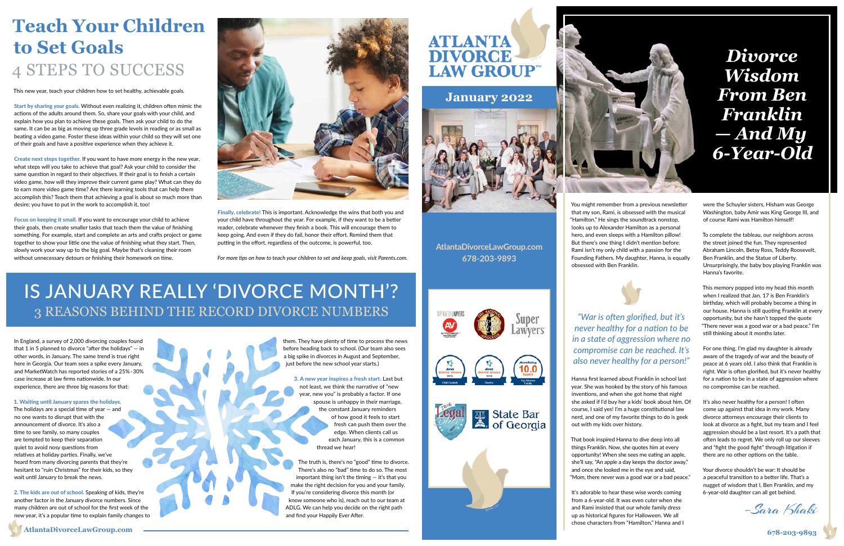You might remember from a previous newsletter that my son, Rami, is obsessed with the musical "Hamilton." He sings the soundtrack nonstop, looks up to Alexander Hamilton as a personal hero, and even sleeps with a Hamilton pillow! But there's one thing I didn't mention before: Rami isn't my only child with a passion for the Founding Fathers. My daughter, Hanna, is equally obsessed with Ben Franklin.

Hanna first learned about Franklin in school last year. She was hooked by the story of his famous inventions, and when she got home that night she asked if I'd buy her a kids' book about him. Of course, I said yes! I'm a huge constitutional law nerd, and one of my favorite things to do is geek out with my kids over history.

That book inspired Hanna to dive deep into all things Franklin. Now, she quotes him at every opportunity! When she sees me eating an apple, she'll say, "An apple a day keeps the doctor away," and once she looked me in the eye and said, "Mom, there never was a good war or a bad peace."

It's adorable to hear these wise words coming from a 6-year-old. It was even cuter when she and Rami insisted that our whole family dress up as historical figures for Halloween. We all chose characters from "Hamilton." Hanna and I

were the Schuyler sisters, Hisham was George Washington, baby Amir was King George III, and of course Rami was Hamilton himself!

#### **AtlantaDivorceLawGroup.com 4 678-203-9893 1**



To complete the tableau, our neighbors across the street joined the fun. They represented Abraham Lincoln, Betsy Ross, Teddy Roosevelt, Ben Franklin, and the Statue of Liberty. Unsurprisingly, the baby boy playing Franklin was Hanna's favorite.

This memory popped into my head this month when I realized that Jan. 17 is Ben Franklin's birthday, which will probably become a thing in our house. Hanna is still quoting Franklin at every opportunity, but she hasn't topped the quote "There never was a good war or a bad peace." I'm still thinking about it months later.

For one thing, I'm glad my daughter is already aware of the tragedy of war and the beauty of peace at 6 years old. I also think that Franklin is right. War is often glorified, but it's never healthy for a nation to be in a state of aggression where no compromise can be reached.

It's also never healthy for a person! I often come up against that idea in my work. Many divorce attorneys encourage their clients to look at divorce as a fight, but my team and I feel aggression should be a last resort. It's a path that often leads to regret. We only roll up our sleeves and "fight the good fight" through litigation if there are no other options on the table.

Your divorce shouldn't be war: It should be a peaceful transition to a better life. That's a nugget of wisdom that I, Ben Franklin, and my 6-year-old daughter can all get behind.

**AtlantaDivorceLawGroup.com 678-203-9893**

### **January 2022**



–Sara Khaki

*"War is often glorified, but it's never healthy for a nation to be in a state of aggression where no compromise can be reached. It's also never healthy for a person!"*

The holidays are a special time of year  $-$  and no one wants to disrupt that with the announcement of divorce. It's also a time to see family, so many couples are tempted to keep their separation quiet to avoid nosy questions from relatives at holiday parties. Finally, we've heard from many divorcing parents that they're hesitant to "ruin Christmas" for their kids, so they wait until January to break the news.

This new year, teach your children how to set healthy, achievable goals.

them. They have plenty of time to process the news before heading back to school. (Our team also sees a big spike in divorces in August and September, just before the new school year starts.)

Start by sharing *your* goals. Without even realizing it, children often mimic the actions of the adults around them. So, share your goals with your child, and explain how you plan to achieve these goals. Then ask your child to do the same. It can be as big as moving up three grade levels in reading or as small as beating a video game. Foster these ideas within your child so they will set one of their goals and have a positive experience when they achieve it.

Create next steps together. If you want to have more energy in the new year, what steps will you take to achieve that goal? Ask your child to consider the same question in regard to their objectives. If their goal is to finish a certain video game, how will they improve their current game play? What can they do to earn more video game time? Are there learning tools that can help them accomplish this? Teach them that achieving a goal is about so much more than desire; you have to put in the work to accomplish it, too!

Focus on keeping it small. If you want to encourage your child to achieve their goals, then create smaller tasks that teach them the value of finishing something. For example, start and complete an arts and crafts project or game together to show your little one the value of finishing what they start. Then, slowly work your way up to the big goal. Maybe that's cleaning their room without unnecessary detours or finishing their homework on time.

Finally, celebrate! This is important. Acknowledge the wins that both you and your child have throughout the year. For example, if they want to be a better reader, celebrate whenever they finish a book. This will encourage them to keep going. And even if they do fail, honor their effort. Remind them that putting in the effort, regardless of the outcome, is powerful, too.

*For more tips on how to teach your children to set and keep goals, visit Parents.com.*



# **Teach Your Children**  4 STEPS TO SUCCESS

*Wisdom From Ben Franklin — And My 6-Year-Old*

In England, a survey of 2,000 divorcing couples found that 1 in 5 planned to divorce "after the holidays"  $-$  in other words, in January. The same trend is true right here in Georgia. Our team sees a spike every January, and MarketWatch has reported stories of a 25%–30% case increase at law firms nationwide. In our experience, there are three big reasons for that:

#### 1. Waiting until January spares the holidays.

2. The kids are out of school. Speaking of kids, they're another factor in the January divorce numbers. Since many children are out of school for the first week of the new year, it's a popular time to explain family changes to

### 3 REASONS BEHIND THE RECORD DIVORCE NUMBERS IS JANUARY REALLY 'DIVORCE MONTH'?

3. A new year inspires a fresh start. Last but not least, we think the narrative of "new year, new you" is probably a factor. If one spouse is unhappy in their marriage, the constant January reminders of how good it feels to start fresh can push them over the edge. When clients call us each January, this is a common thread we hear!

The truth is, there's no "good" time to divorce. There's also no "bad" time to do so. The most important thing isn't the timing  $-$  it's that you make the right decision for you and your family. If you're considering divorce this month (or know someone who is), reach out to our team at ADLG. We can help you decide on the right path and find your Happily Ever After.



| s. |  |
|----|--|
| ٠  |  |